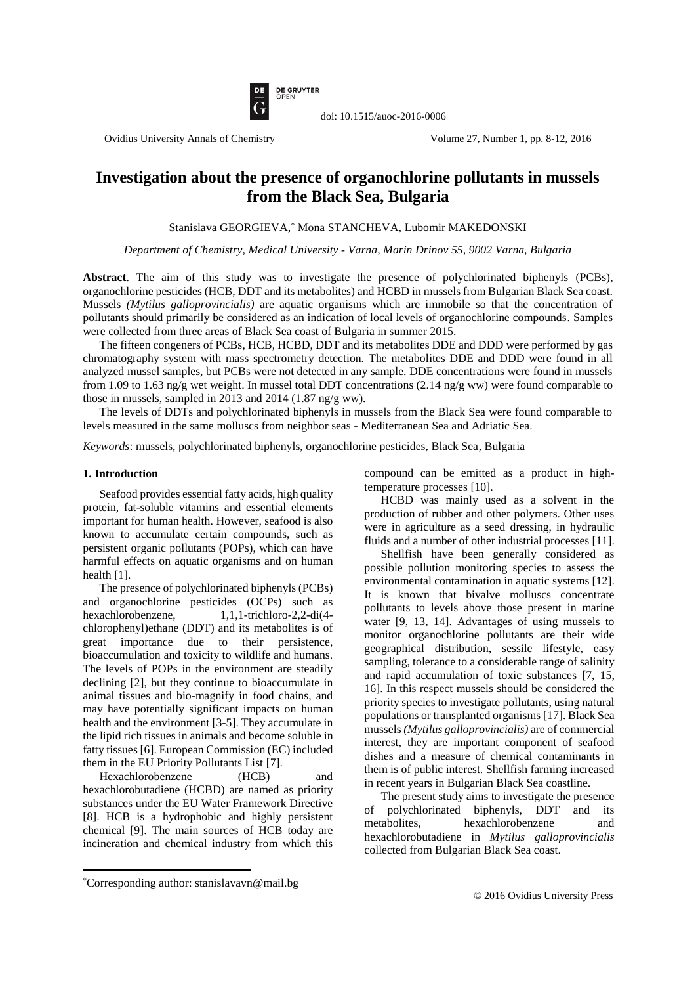

# **Investigation about the presence of organochlorine pollutants in mussels from the Black Sea, Bulgaria**

Stanislava GEORGIEVA, \* Mona STANCHEVA, Lubomir MAKEDONSKI

*Department of Chemistry, Medical University - Varna, Marin Drinov 55, 9002 Varna, Bulgaria*

**Abstract**. The aim of this study was to investigate the presence of polychlorinated biphenyls (PCBs), organochlorine pesticides (HCB, DDT and its metabolites) and HCBD in mussels from Bulgarian Black Sea coast. Mussels *(Mytilus galloprovincialis)* are aquatic organisms which are immobile so that the concentration of pollutants should primarily be considered as an indication of local levels of organochlorine compounds. Samples were collected from three areas of Black Sea coast of Bulgaria in summer 2015.

The fifteen congeners of PCBs, HCB, HCBD, DDT and its metabolites DDE and DDD were performed by gas chromatography system with mass spectrometry detection. The metabolites DDE and DDD were found in all analyzed mussel samples, but PCBs were not detected in any sample. DDE concentrations were found in mussels from 1.09 to 1.63 ng/g wet weight. In mussel total DDT concentrations (2.14 ng/g ww) were found comparable to those in mussels, sampled in 2013 and 2014 (1.87 ng/g ww).

The levels of DDTs and polychlorinated biphenyls in mussels from the Black Sea were found comparable to levels measured in the same molluscs from neighbor seas - Mediterranean Sea and Adriatic Sea.

*Keywords*: mussels, polychlorinated biphenyls, organochlorine pesticides, Black Sea, Bulgaria

### **1. Introduction**

Seafood provides essential fatty acids, high quality protein, fat-soluble vitamins and essential elements important for human health. However, seafood is also known to accumulate certain compounds, such as persistent organic pollutants (POPs), which can have harmful effects on aquatic organisms and on human health [1].

The presence of polychlorinated biphenyls (PCBs) and organochlorine pesticides (OCPs) such as hexachlorobenzene, 1,1,1-trichloro-2,2-di(4 chlorophenyl)ethane (DDT) and its metabolites is of great importance due to their persistence, bioaccumulation and toxicity to wildlife and humans. The levels of POPs in the environment are steadily declining [2], but they continue to bioaccumulate in animal tissues and bio-magnify in food chains, and may have potentially significant impacts on human health and the environment [3-5]. They accumulate in the lipid rich tissues in animals and become soluble in fatty tissues [6]. European Commission (EC) included them in the EU Priority Pollutants List [7].

Hexachlorobenzene (HCB) and hexachlorobutadiene (HCBD) are named as priority substances under the EU Water Framework Directive [8]. HCB is a hydrophobic and highly persistent chemical [9]. The main sources of HCB today are incineration and chemical industry from which this compound can be emitted as a product in hightemperature processes [10].

HCBD was mainly used as a solvent in the production of rubber and other polymers. Other uses were in agriculture as a seed dressing, in hydraulic fluids and a number of other industrial processes [11].

Shellfish have been generally considered as possible pollution monitoring species to assess the environmental contamination in aquatic systems [12]. It is known that bivalve molluscs concentrate pollutants to levels above those present in marine water [9, 13, 14]. Advantages of using mussels to monitor organochlorine pollutants are their wide geographical distribution, sessile lifestyle, easy sampling, tolerance to a considerable range of salinity and rapid accumulation of toxic substances [7, 15, 16]. In this respect mussels should be considered the priority species to investigate pollutants, using natural populations or transplanted organisms [17]. Black Sea mussels *(Mytilus galloprovincialis)* are of commercial interest, they are important component of seafood dishes and a measure of chemical contaminants in them is of public interest. Shellfish farming increased in recent years in Bulgarian Black Sea coastline.

The present study aims to investigate the presence of polychlorinated biphenyls, DDT and its metabolites, hexachlorobenzene and hexachlorobutadiene in *Mytilus galloprovincialis* collected from Bulgarian Black Sea coast.

 $\overline{a}$ 

<sup>\*</sup>Corresponding author: stanislavavn@mail.bg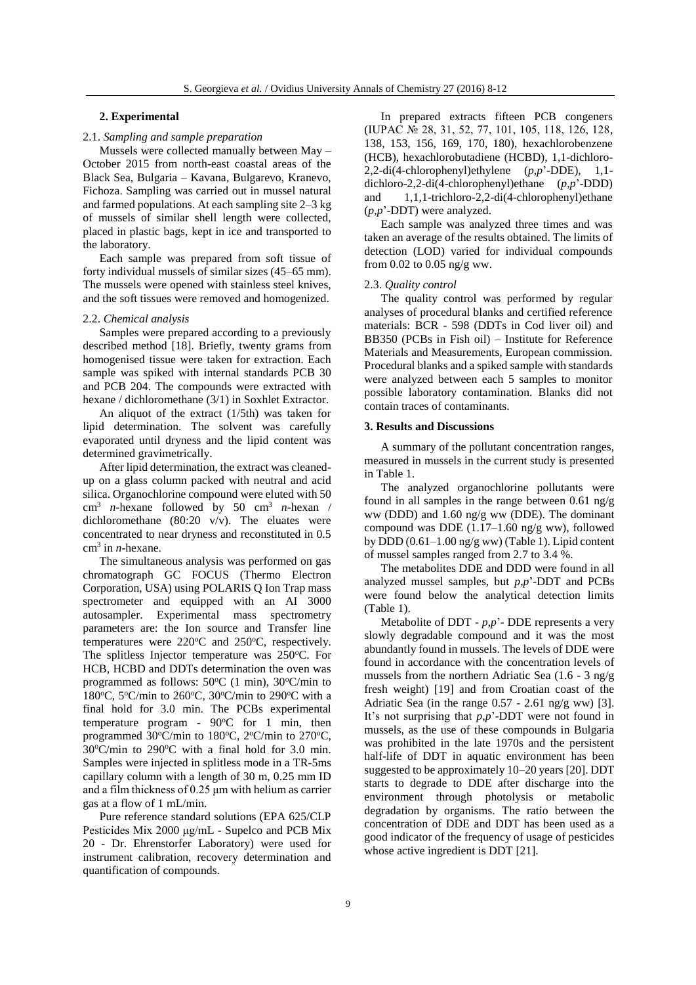## **2. Experimental**

# 2.1. *Sampling and sample preparation*

Mussels were collected manually between May – October 2015 from north-east coastal areas of the Black Sea, Bulgaria – Kavana, Bulgarevo, Kranevo, Fichoza. Sampling was carried out in mussel natural and farmed populations. At each sampling site 2–3 kg of mussels of similar shell length were collected, placed in plastic bags, kept in ice and transported to the laboratory.

Each sample was prepared from soft tissue of forty individual mussels of similar sizes (45–65 mm). The mussels were opened with stainless steel knives, and the soft tissues were removed and homogenized.

## 2.2. *Chemical analysis*

Samples were prepared according to a previously described method [18]. Briefly, twenty grams from homogenised tissue were taken for extraction. Each sample was spiked with internal standards PCB 30 and PCB 204. The compounds were extracted with hexane / dichloromethane (3/1) in Soxhlet Extractor.

An aliquot of the extract (1/5th) was taken for lipid determination. The solvent was carefully evaporated until dryness and the lipid content was determined gravimetrically.

After lipid determination, the extract was cleanedup on a glass column packed with neutral and acid silica. Organochlorine compound were eluted with 50  $cm<sup>3</sup>$  *n*-hexane followed by 50  $cm<sup>3</sup>$  *n*-hexan / dichloromethane (80:20 v/v). The eluates were concentrated to near dryness and reconstituted in 0.5 cm<sup>3</sup> in *n*-hexane.

The simultaneous analysis was performed on gas chromatograph GC FOCUS (Thermo Electron Corporation, USA) using POLARIS Q Ion Trap mass spectrometer and equipped with an AI 3000 autosampler. Experimental mass spectrometry parameters are: the Ion source and Transfer line temperatures were  $220^{\circ}$ C and  $250^{\circ}$ C, respectively. The splitless Injector temperature was 250°C. For HCB, HCBD and DDTs determination the oven was programmed as follows:  $50^{\circ}$ C (1 min),  $30^{\circ}$ C/min to 180°C, 5°C/min to 260°C, 30°C/min to 290°C with a final hold for 3.0 min. The PCBs experimental temperature program -  $90^{\circ}$ C for 1 min, then programmed 30°C/min to 180°C, 2°C/min to 270°C,  $30^{\circ}$ C/min to  $290^{\circ}$ C with a final hold for 3.0 min. Samples were injected in splitless mode in a TR-5ms capillary column with a length of 30 m, 0.25 mm ID and a film thickness of 0.25 μm with helium as carrier gas at a flow of 1 mL/min.

Pure reference standard solutions (EPA 625/CLP Pesticides Mix 2000 μg/mL - Supelco and PCB Mix 20 - Dr. Ehrenstorfer Laboratory) were used for instrument calibration, recovery determination and quantification of compounds.

In prepared extracts fifteen PCB congeners (IUPAC № 28, 31, 52, 77, 101, 105, 118, 126, 128, 138, 153, 156, 169, 170, 180), hexachlorobenzene (HCB), hexachlorobutadiene (HCBD), 1,1-dichloro-2,2-di(4-chlorophenyl)ethylene (*p*,*p*'-DDE), 1,1 dichloro-2,2-di(4-chlorophenyl)ethane (*p*,*p*'-DDD) and 1,1,1-trichloro-2,2-di(4-chlorophenyl)ethane (*p*,*p*'-DDT) were analyzed.

Each sample was analyzed three times and was taken an average of the results obtained. The limits of detection (LOD) varied for individual compounds from 0.02 to 0.05 ng/g ww.

#### 2.3. *Quality control*

The quality control was performed by regular analyses of procedural blanks and certified reference materials: BCR - 598 (DDTs in Cod liver oil) and BB350 (PCBs in Fish oil) – Institute for Reference Materials and Measurements, European commission. Procedural blanks and a spiked sample with standards were analyzed between each 5 samples to monitor possible laboratory contamination. Blanks did not contain traces of contaminants.

## **3. Results and Discussions**

A summary of the pollutant concentration ranges, measured in mussels in the current study is presented in Table 1.

The analyzed organochlorine pollutants were found in all samples in the range between 0.61 ng/g ww (DDD) and 1.60 ng/g ww (DDE). The dominant compound was DDE (1.17–1.60 ng/g ww), followed by DDD  $(0.61-1.00 \text{ ng/g} \text{ ww})$  (Table 1). Lipid content of mussel samples ranged from 2.7 to 3.4 %.

The metabolites DDE and DDD were found in all analyzed mussel samples, but *p*,*p*'-DDT and PCBs were found below the analytical detection limits (Table 1).

Metabolite of DDT - *p*,*p*'- DDE represents a very slowly degradable compound and it was the most abundantly found in mussels. The levels of DDE were found in accordance with the concentration levels of mussels from the northern Adriatic Sea (1.6 - 3 ng/g fresh weight) [19] and from Croatian coast of the Adriatic Sea (in the range  $0.57 - 2.61$  ng/g ww) [3]. It's not surprising that *p*,*p*'-DDT were not found in mussels, as the use of these compounds in Bulgaria was prohibited in the late 1970s and the persistent half-life of DDT in aquatic environment has been suggested to be approximately 10–20 years [20]. DDT starts to degrade to DDE after discharge into the environment through photolysis or metabolic degradation by organisms. The ratio between the concentration of DDE and DDT has been used as a good indicator of the frequency of usage of pesticides whose active ingredient is DDT [21].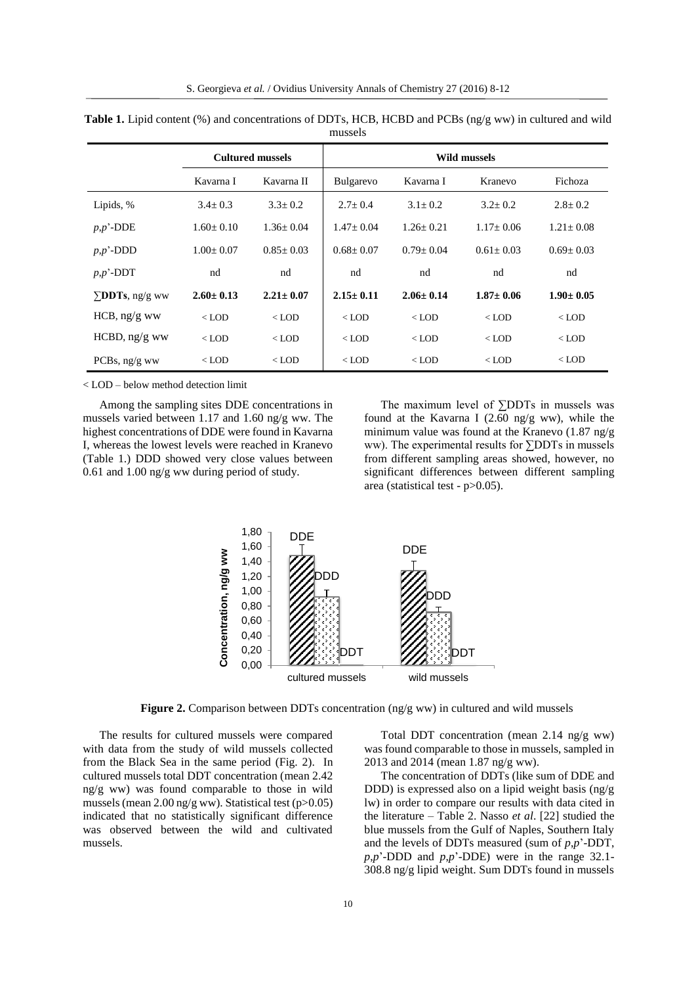|                        | <b>Cultured mussels</b> |                 | Wild mussels     |                 |                 |                 |
|------------------------|-------------------------|-----------------|------------------|-----------------|-----------------|-----------------|
|                        | Kavarna I               | Kavarna II      | <b>Bulgarevo</b> | Kavarna I       | Kranevo         | Fichoza         |
| Lipids, %              | $3.4 \pm 0.3$           | $3.3 \pm 0.2$   | $2.7 \pm 0.4$    | $3.1 \pm 0.2$   | $3.2 \pm 0.2$   | $2.8 \pm 0.2$   |
| $p,p$ '-DDE            | $1.60 \pm 0.10$         | $1.36 \pm 0.04$ | $1.47 + 0.04$    | $1.26 + 0.21$   | $1.17+0.06$     | $1.21 \pm 0.08$ |
| $p, p'$ -DDD           | $1.00 \pm 0.07$         | $0.85 \pm 0.03$ | $0.68 \pm 0.07$  | $0.79 \pm 0.04$ | $0.61 \pm 0.03$ | $0.69 \pm 0.03$ |
| $p, p'$ -DDT           | nd                      | nd              | nd               | nd              | nd              | nd              |
| $\Sigma$ DDTs, ng/g ww | $2.60 \pm 0.13$         | $2.21 \pm 0.07$ | $2.15 \pm 0.11$  | $2.06 + 0.14$   | $1.87 \pm 0.06$ | $1.90 \pm 0.05$ |
| HCB, $ng/g$ ww         | $<$ LOD                 | $<$ LOD         | $<$ LOD          | $<$ LOD         | $<$ LOD         | $<$ LOD         |
| $HCBD$ , ng/g ww       | $<$ LOD                 | $<$ LOD         | $<$ LOD          | $<$ LOD         | $<$ LOD         | $<$ LOD         |
| PCBs, ng/g ww          | $<$ LOD                 | $<$ LOD         | $<$ LOD          | $<$ LOD         | $<$ LOD         | $<$ LOD         |

**Table 1.** Lipid content (%) and concentrations of DDTs, HCB, HCBD and PCBs (ng/g ww) in cultured and wild mussels

< LOD – below method detection limit

Among the sampling sites DDE concentrations in mussels varied between 1.17 and 1.60 ng/g ww. The highest concentrations of DDE were found in Kavarna I, whereas the lowest levels were reached in Kranevo (Table 1.) DDD showed very close values between 0.61 and 1.00 ng/g ww during period of study.

The maximum level of ∑DDTs in mussels was found at the Kavarna I (2.60 ng/g ww), while the minimum value was found at the Kranevo (1.87 ng/g ww). The experimental results for ∑DDTs in mussels from different sampling areas showed, however, no significant differences between different sampling area (statistical test - p>0.05).



**Figure 2.** Comparison between DDTs concentration (ng/g ww) in cultured and wild mussels

The results for cultured mussels were compared with data from the study of wild mussels collected from the Black Sea in the same period (Fig. 2). In cultured mussels total DDT concentration (mean 2.42 ng/g ww) was found comparable to those in wild mussels(mean 2.00 ng/g ww). Statistical test (p>0.05) indicated that no statistically significant difference was observed between the wild and cultivated mussels.

Total DDT concentration (mean 2.14 ng/g ww) was found comparable to those in mussels, sampled in 2013 and 2014 (mean 1.87 ng/g ww).

The concentration of DDTs (like sum of DDE and DDD) is expressed also on a lipid weight basis (ng/g lw) in order to compare our results with data cited in the literature – Table 2. Nasso *et al*. [22] studied the blue mussels from the Gulf of Naples, Southern Italy and the levels of DDTs measured (sum of *p*,*p*'-DDT, *p*,*p*'-DDD and *p*,*p*'-DDE) were in the range 32.1- 308.8 ng/g lipid weight. Sum DDTs found in mussels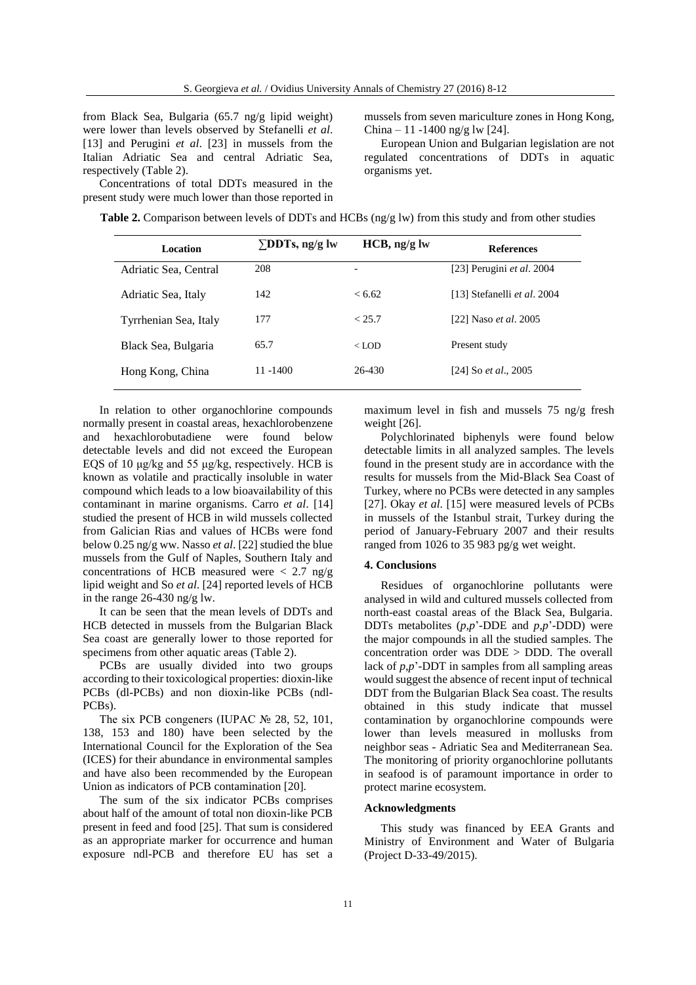from Black Sea, Bulgaria (65.7 ng/g lipid weight) were lower than levels observed by Stefanelli *et al*. [13] and Perugini *et al*. [23] in mussels from the Italian Adriatic Sea and central Adriatic Sea, respectively (Table 2).

Concentrations of total DDTs measured in the present study were much lower than those reported in mussels from seven mariculture zones in Hong Kong, China – 11 -1400 ng/g lw [24].

European Union and Bulgarian legislation are not regulated concentrations of DDTs in aquatic organisms yet.

| <b>Table 2.</b> Comparison between levels of DDTs and HCBs ( $\frac{ng}{g}$ lw) from this study and from other studies |  |  |  |
|------------------------------------------------------------------------------------------------------------------------|--|--|--|
|------------------------------------------------------------------------------------------------------------------------|--|--|--|

| Location              | $\Sigma$ DDTs, ng/g lw | $HCB$ , ng/g lw | <b>References</b>                  |
|-----------------------|------------------------|-----------------|------------------------------------|
| Adriatic Sea, Central | 208                    | -               | [23] Perugini et al. $2004$        |
| Adriatic Sea, Italy   | 142                    | < 6.62          | [13] Stefanelli <i>et al.</i> 2004 |
| Tyrrhenian Sea, Italy | 177                    | < 25.7          | [22] Naso <i>et al.</i> 2005       |
| Black Sea, Bulgaria   | 65.7                   | $<$ LOD         | Present study                      |
| Hong Kong, China      | $11 - 1400$            | 26-430          | [24] So <i>et al.</i> , 2005       |

In relation to other organochlorine compounds normally present in coastal areas, hexachlorobenzene and hexachlorobutadiene were found below detectable levels and did not exceed the European EQS of 10 μg/kg and 55 μg/kg, respectively. HCB is known as volatile and practically insoluble in water compound which leads to a low bioavailability of this contaminant in marine organisms. Carro *et al*. [14] studied the present of HCB in wild mussels collected from Galician Rias and values of HCBs were fond below 0.25 ng/g ww. Nasso *et al*. [22] studied the blue mussels from the Gulf of Naples, Southern Italy and concentrations of HCB measured were  $\langle 2.7 \text{ ng/g} \rangle$ lipid weight and So *et al*. [24] reported levels of HCB in the range 26-430 ng/g lw.

It can be seen that the mean levels of DDTs and HCB detected in mussels from the Bulgarian Black Sea coast are generally lower to those reported for specimens from other aquatic areas (Table 2).

PCBs are usually divided into two groups according to their toxicological properties: dioxin-like PCBs (dl-PCBs) and non dioxin-like PCBs (ndl-PCBs).

The six PCB congeners (IUPAC № 28, 52, 101, 138, 153 and 180) have been selected by the International Council for the Exploration of the Sea (ICES) for their abundance in environmental samples and have also been recommended by the European Union as indicators of PCB contamination [20].

The sum of the six indicator PCBs comprises about half of the amount of total non dioxin-like PCB present in feed and food [25]. That sum is considered as an appropriate marker for occurrence and human exposure ndl-PCB and therefore EU has set a maximum level in fish and mussels 75 ng/g fresh weight [26].

Polychlorinated biphenyls were found below detectable limits in all analyzed samples. The levels found in the present study are in accordance with the results for mussels from the Mid-Black Sea Coast of Turkey, where no PCBs were detected in any samples [27]. Okay *et al*. [15] were measured levels of PCBs in mussels of the Istanbul strait, Turkey during the period of January-February 2007 and their results ranged from 1026 to 35 983 pg/g wet weight.

## **4. Conclusions**

Residues of organochlorine pollutants were analysed in wild and cultured mussels collected from north-east coastal areas of the Black Sea, Bulgaria. DDTs metabolites (*p*,*p*'-DDE and *p*,*p*'-DDD) were the major compounds in all the studied samples. The concentration order was DDE > DDD. The overall lack of *p*,*p*'-DDT in samples from all sampling areas would suggest the absence of recent input of technical DDT from the Bulgarian Black Sea coast. The results obtained in this study indicate that mussel contamination by organochlorine compounds were lower than levels measured in mollusks from neighbor seas - Adriatic Sea and Mediterranean Sea. The monitoring of priority organochlorine pollutants in seafood is of paramount importance in order to protect marine ecosystem.

# **Acknowledgments**

This study was financed by EEA Grants and Ministry of Environment and Water of Bulgaria (Project D-33-49/2015).